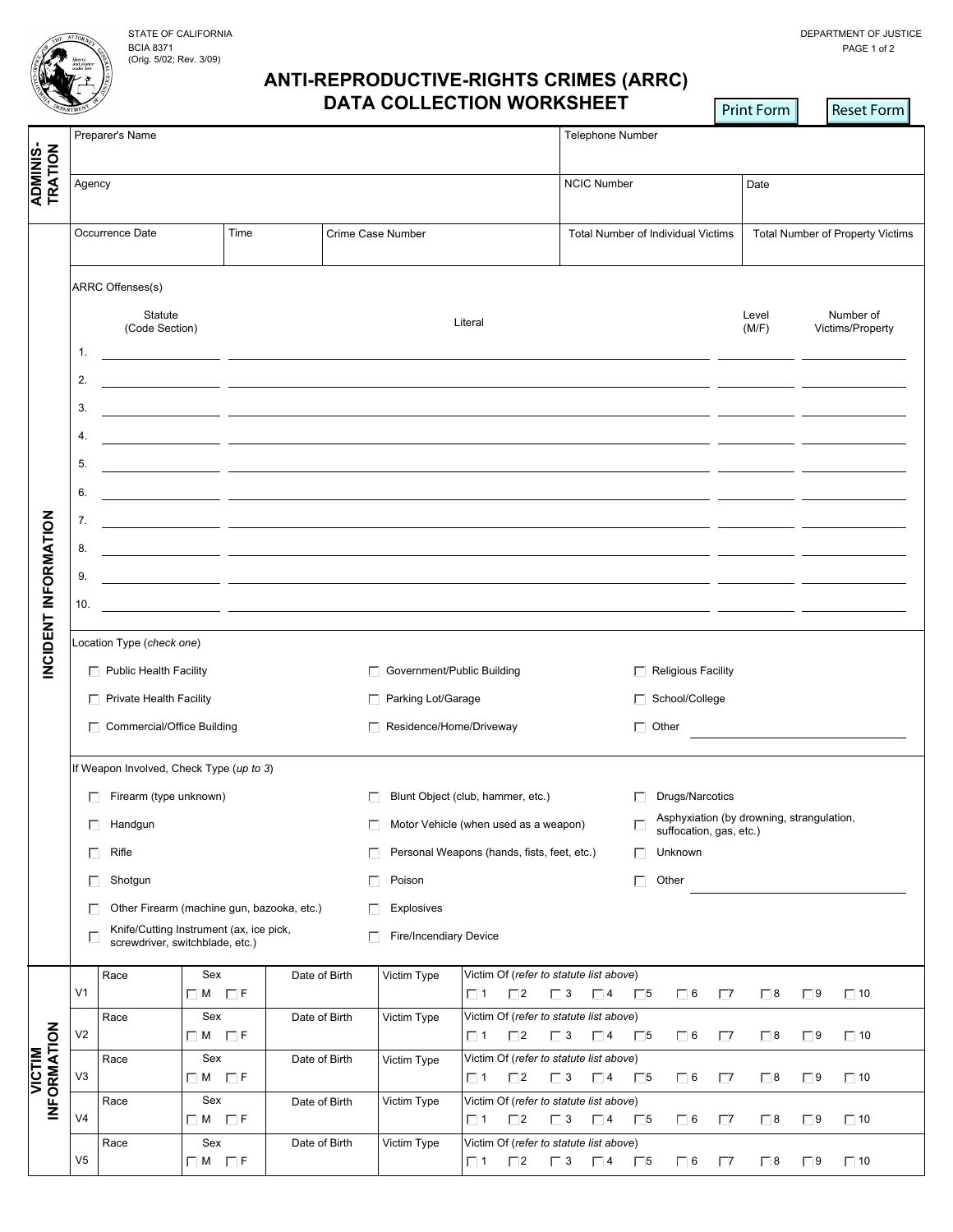BCIA 8371 (Orig. 5/02; Rev. 3/09)

 $\mathbf{r}$ 

## **ANTI-REPRODUCTIVE-RIGHTS CRIMES (ARRC) DATA COLLECTION WORKSHEET**

|                               | EPARTMEN                                                                        |                                          |                          |               |                                                                                                                      | DATA COLLECTION WORRSHEET                                       |                                     |                                                                      | <b>Print Form</b>                | Reset Form             |  |  |
|-------------------------------|---------------------------------------------------------------------------------|------------------------------------------|--------------------------|---------------|----------------------------------------------------------------------------------------------------------------------|-----------------------------------------------------------------|-------------------------------------|----------------------------------------------------------------------|----------------------------------|------------------------|--|--|
|                               | Preparer's Name                                                                 |                                          |                          |               |                                                                                                                      | Telephone Number                                                |                                     |                                                                      |                                  |                        |  |  |
|                               |                                                                                 |                                          |                          |               |                                                                                                                      |                                                                 |                                     |                                                                      |                                  |                        |  |  |
| ADMINIS-<br>TRATION           | Agency                                                                          |                                          |                          |               |                                                                                                                      |                                                                 | <b>NCIC Number</b>                  |                                                                      | Date                             |                        |  |  |
|                               | Time<br>Occurrence Date                                                         |                                          |                          |               | Crime Case Number                                                                                                    |                                                                 | Total Number of Individual Victims  |                                                                      | Total Number of Property Victims |                        |  |  |
|                               |                                                                                 |                                          |                          |               |                                                                                                                      |                                                                 |                                     |                                                                      |                                  |                        |  |  |
|                               |                                                                                 | ARRC Offenses(s)                         |                          |               |                                                                                                                      |                                                                 |                                     |                                                                      |                                  |                        |  |  |
|                               |                                                                                 | Statute                                  |                          |               |                                                                                                                      |                                                                 |                                     |                                                                      | Level                            | Number of              |  |  |
|                               | (Code Section)                                                                  |                                          |                          | Literal       |                                                                                                                      |                                                                 |                                     | (M/F)                                                                | Victims/Property                 |                        |  |  |
|                               | 1.<br><u> 1989 - Johann John Stone, mars et al. (1989)</u>                      |                                          |                          |               |                                                                                                                      |                                                                 |                                     |                                                                      |                                  |                        |  |  |
|                               | 2.                                                                              |                                          |                          |               |                                                                                                                      |                                                                 |                                     |                                                                      |                                  |                        |  |  |
|                               | 3.                                                                              |                                          |                          |               |                                                                                                                      |                                                                 |                                     |                                                                      |                                  |                        |  |  |
|                               | 4.                                                                              |                                          |                          |               | <u> 1989 - John Stein, mars and de Britain (b. 1989)</u>                                                             |                                                                 |                                     |                                                                      |                                  |                        |  |  |
|                               | 5.                                                                              |                                          |                          |               |                                                                                                                      |                                                                 |                                     |                                                                      |                                  |                        |  |  |
| <b>INCIDENT INFORMATION</b>   | 6.                                                                              |                                          |                          |               | <u> 1989 - Johann John Stone, mars eta biztanleria (h. 1989).</u>                                                    |                                                                 |                                     |                                                                      |                                  |                        |  |  |
|                               | 7.                                                                              |                                          |                          |               | <u> 1989 - Johann John Stone, mars eta inperiodo eta inperiodo eta inperiodo eta inperiodo eta inperiodo eta inp</u> |                                                                 |                                     |                                                                      |                                  |                        |  |  |
|                               | 8.                                                                              |                                          |                          |               | <u> 1989 - Johann John Stein, mars and de British and de British and de British and de British and de British an</u> |                                                                 |                                     |                                                                      |                                  |                        |  |  |
|                               | 9.                                                                              |                                          |                          |               | <u> 1989 - Johann John Stein, mars an deus Amerikaansk kommunister (</u>                                             |                                                                 |                                     |                                                                      |                                  |                        |  |  |
|                               | 10.                                                                             |                                          |                          |               |                                                                                                                      |                                                                 |                                     |                                                                      |                                  |                        |  |  |
|                               |                                                                                 | Location Type (check one)                |                          |               |                                                                                                                      |                                                                 |                                     |                                                                      |                                  |                        |  |  |
|                               | $\Box$ Public Health Facility                                                   |                                          |                          |               | □ Government/Public Building                                                                                         |                                                                 |                                     | $\Box$ Religious Facility                                            |                                  |                        |  |  |
|                               | $\Box$ Private Health Facility                                                  |                                          |                          |               | □ Parking Lot/Garage                                                                                                 |                                                                 |                                     | □ School/College                                                     |                                  |                        |  |  |
|                               | Commercial/Office Building                                                      |                                          |                          |               | □ Residence/Home/Driveway                                                                                            |                                                                 |                                     | $\Box$ Other                                                         |                                  |                        |  |  |
|                               |                                                                                 | If Weapon Involved, Check Type (up to 3) |                          |               |                                                                                                                      |                                                                 |                                     |                                                                      |                                  |                        |  |  |
|                               | Firearm (type unknown)                                                          |                                          |                          |               |                                                                                                                      | Blunt Object (club, hammer, etc.)                               |                                     |                                                                      | Drugs/Narcotics<br>П             |                        |  |  |
|                               | Handgun<br>П                                                                    |                                          |                          | п             | Motor Vehicle (when used as a weapon)                                                                                |                                                                 |                                     | Asphyxiation (by drowning, strangulation,<br>suffocation, gas, etc.) |                                  |                        |  |  |
|                               | Rifle<br>П                                                                      |                                          |                          | п             | Personal Weapons (hands, fists, feet, etc.)                                                                          |                                                                 |                                     | Unknown<br>E.                                                        |                                  |                        |  |  |
|                               | Shotgun<br>П                                                                    |                                          |                          | Poison<br>П.  |                                                                                                                      |                                                                 |                                     | Other<br>П.                                                          |                                  |                        |  |  |
|                               | Other Firearm (machine gun, bazooka, etc.)<br>П                                 |                                          |                          |               | <b>Explosives</b><br>E.                                                                                              |                                                                 |                                     |                                                                      |                                  |                        |  |  |
|                               | Knife/Cutting Instrument (ax, ice pick,<br>г<br>screwdriver, switchblade, etc.) |                                          |                          |               | П                                                                                                                    | <b>Fire/Incendiary Device</b>                                   |                                     |                                                                      |                                  |                        |  |  |
|                               |                                                                                 | Race                                     | Sex                      | Date of Birth | Victim Type                                                                                                          | Victim Of (refer to statute list above)                         |                                     |                                                                      |                                  |                        |  |  |
|                               | V <sub>1</sub>                                                                  |                                          | $\Box M$ $\Box F$        |               |                                                                                                                      | $\Box$ 2<br>$\Box$ 1                                            | $\Box$ 3<br>$\Box$ 4<br>$\Box$      | $\Box$ 6                                                             | $\Box$<br>$\Box$ 8               | $\Box$ 9<br>$\Box$ 10  |  |  |
|                               | V2                                                                              | Race                                     | Sex<br>$\Box$ M $\Box$ F | Date of Birth | Victim Type                                                                                                          | Victim Of (refer to statute list above)<br>$\Box$ 1<br>$\Box$ 2 | $\Box$ 3<br>$\Box$ 4<br>$\Box$      | $\Box$ 6                                                             | $\Box$ 8<br>$\Box$               | $\Box$ 10<br>$\Box$    |  |  |
| <b>VICTIM<br/>INFORMATION</b> | V3                                                                              | Race                                     | Sex<br>$\Box$ M $\Box$ F | Date of Birth | Victim Type                                                                                                          | Victim Of (refer to statute list above)<br>$\Box$ 2<br>$\Box$ 1 | $\Box$ 3<br>$\Box$ 4<br>$\Box$ 5    | $\Box$ 6                                                             | $\Box$ 8<br>$\Box$               | $\Box$ 9<br>$\Box$ 10  |  |  |
|                               | V <sub>4</sub>                                                                  | Race                                     | Sex<br>$\Box M$ $\Box F$ | Date of Birth | Victim Type                                                                                                          | Victim Of (refer to statute list above)<br>$\Box$ 1<br>$\Box$ 2 | $\Box$ 3 $\Box$ 4<br>$\Box$         | $\Box$ 6                                                             | $\Box$ 8                         | $\square$ 10<br>$\Box$ |  |  |
|                               |                                                                                 | Race                                     | Sex                      | Date of Birth | Victim Type                                                                                                          | Victim Of (refer to statute list above)                         |                                     |                                                                      | $\sqrt{7}$                       |                        |  |  |
|                               | V5                                                                              |                                          | $\Box$ M $\Box$ F        |               |                                                                                                                      | $\Box$ 1<br>$\Box$ 2                                            | $\Box$ 3<br>$\Box$ 4<br>$\square$ 5 | $\Box$ 6                                                             | $\Box$ 8<br>$\Gamma$             | $\Box$ 9<br>$\Box$ 10  |  |  |